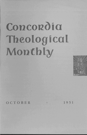## **Concordia Theological Monthly**



OCTOBER • 1951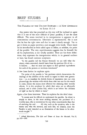## BRIEF STUDIES

## THE PARABLE OF THE UNJUST STEWARD-A NEW APPROACH TO LUKE 16:1-9

Any pastor who has preached on this text will be inclined to agree that it is one of the most difficult of Jesus' parables, if not the most difficult. The strain involved in its interpretation is apparent in all conscientious commentaries. Edersheim is representative. He is sure that he has the right view and that he sees it clearly enough. Yet to get it down on paper involves a real struggle with words. Three times in his introduction he feels called upon to define, or redefine, the point of the parable. The very repetitiousness suggests that he himself, for all his explanations, is not wholly satisfied. Here are his three definitions; they represent the interpretation which, in its general outlines at least, has found common acceptance.

"In the parable [of the Unjust Steward} we are told what the sinner, when converted, should learn from his previous life of  $sin \ldots$ . It follows ... that we must not expect to find spiritual equivalents for each of the persons or incidents introduced."

A few lines farther he explains again:

The point of the parable is "the prudence which characterizes the dealings of the children of the world in regard to their own generation - or, to translate the Jewish forms of expression into our own phraseology, the wisdom with which those who care not for the world to come, choose the means most effectual for attaining their worldly objects. It is this prudence by which their aims are so effectually secured, *and it alone* [italics his}, which is set before 'the children of light' as that by which to learn."

Again a few lines intervene. Then he explains for the third time:

"It cannot now be difficult to understand the parable. Its object is simply to show, in the most striking manner, the prudence of a worldly man, who *is* unrestrained by any other consideratidn than that of attaining his end. . . . All else, such as the question, who is the master and who the steward, and such like, we dismiss, since the Parable is only intended as an illustration of the lesson to be afterwards taught." \*

<sup>\*</sup> Alfred Edersheirn, *The Life and Times of Jesus the Messiah,* Vol. II, pp.265-266.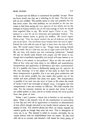"It cannot now be difficult to understand the parable," he says. These are brave words, but they are a whistling in the dark. The fact is we still are not satisfied. The parable seems so clear and powerful for the first seven verses. But then suddenly we are shocked in the last two verses to find Jesus saying *the very opposite* of that which, not on the strength of human wisdom, but on the very analogy of faith, we would have expected Him to say. We would expect Christ to say: "The steward is a *fool* for all his cleverness and pretended wisdom." Yet the Savior instead seems to glorify his wisdom. We would expect Christ to say: "You, the unjust steward, the son of darkness, you think you are so clever. You had better learn wisdom from the sons of light." Instead the Lord tells the sons of light to learn from the sons of darkness. We would expect Christ to say: "Forget about making friends in this world. See to it first that you are on right terms with God. For He, not they, will receive you into everlasting habitations." Instead He says we should make friends with people, and He seems to say, though this is manifestly impossible, that *people* will open heaven to us.

Where is the answer to this problem? Must we take the words of Jesus at face value and then resort to the difficult and unsatisfactory interpretation and application of Edersheim and other commentators? Or is it possible that Jesus is deliberately saying *just the opposite* of His true meaning? It is the object of this study to show that this latter interpretation is possible; that it not only gives satisfaction and unity to the entire parable, but also makes this parable one of the richest and most powerful that Jesus ever spoke. The interpretation is possible if we read into the voice of Jesus as He utters the words of verses 8 and 9 the overtones of deepest irony. I recognize that this interpretation is also not without its difficulty. We shall consider that later. For the moment, however, let us assume that verses 8 and 9 are indeed spoken in irony, and let us briefly restudy the entire parable from that point of view.

Verses 1 and 2 present a theme that is familiar in the teaching of Jesus. There is the steward, with all the connotations of stewardship in that day and with all its applications to ourselves as administrators of that which, though entrusted to our hands, forever remains the possession of God. The steward abuses his office; he wastes, misuses his master's goods as though they were his own. This is descriptive of every sin in us. The steward is called to account, inevitably, for he cannot forever hide his unfaithfulness from his master. So also God will call us to account, and demand a full return for every penny of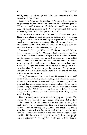wealth, every ounce of strength and ability, every moment of time, He has entrusted to our care.

Verses 3 to 7 picture the reaction of the steward, a description unique among the parables of Jesus. Immediately he asks the question "What shall I do?" Contrary to Edersheim, who would have us brush aside such details as irrelevant to the *tertium,* every word that follows is richly significant and full of practical application.

First we see what the steward does not do. He does not repent. There is in evidence no sense of guilt, no realization of wrongdoing, no regret at his failure in discharging his responsibilties, no tear, no conscience, no confession, no apology. The only concern is regret at being caught and fear of the consequences of losing his job. Thus we also conceal our sin, resist confession, hate repentance.

"I cannot dig," he says. Why not? Has he no strength? No, he simply does not want to dig. Digging is hard work. It is degrading for one who has been a steward. It represents honest labor for honest pay. It presents no opportunity for quick advancement or for skillful manipulations. It is not for him. Thus the opportunity to reform, to turn from a life of selfishness and dishonesty to one of hard work, is rejected. The gracious purpose of the master in calling him to account has failed. So we also are parasites by nature. Though we protest graft in others, we ourselves also suck in all we can get and give as little as possible in return.

"To beg I am ashamed," the steward says. He cannot throw himself on the mercy of his master, cannot beg forgiveness, cannot in humility acknowledge that all he has ever had anyhow has been a gift of free grace and that he has been a beggar, in fact, all along. So we also do not like to regard ourselves as beggars on God's doorstep and to receive His gifts as *gifts.* We like to put on the front of independence, as though we had deserved and earned what we have. We, too, are ashamed to beg.

Thus repentance, honest labor, humble begging are rejected. The steward adopts a different course of action. Who cares what the lord thinks! Other debtors like himself will respect him! So he gets in good with people. He reduces their bills. He encourages them also not to take their sin seriously. True, it is the lord's money he is signing away, but he sees to it that he, not the lord, gets full credit for such liberality. Whether this would have the lord's approval does not concern him. He does not need the praises of the lord. At least people like him, approve him, and sing: "He's a jolly good fellow." Thus he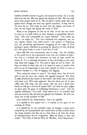## BRIEF STUDIES 759

comforts himself, drowns his guilt, and assures his future. So it is also with us in our sin. We, too, ignore the opinion of God. We care only about what people think of us. Weare glad to brush aside their sins against God (though not their sins against ourselves) if they will do the same for us. And when we have won the respect and honor of men, we can forget and ignore the wrath of God.

What is the judgment of God on all this? In the last two verses we have it, in words which we shall interpret as powerfully effective irony. "The lord commended the unjust steward." "You surely are clever!" he might say. "You have displayed real ingenuity, yes, the very highest wisdom this world knows - the wisdom of disguising your sin, pretending righteousness, shrugging off the anger of God, quieting a guilty conscience by gaining the approval of men, showing off a few good works to cover a heart full of evil."

Jesus adds His own commentary, also in irony: "For the children of this world are in their generation wiser than the children of light." Yes, this is a wisdom and cleverness the sons of light would not dream of. It is a damning cleverness, in fact, deceiving no one more than those who engage in it. The sons of light are not so clever. All they can think of when they sin is to repent in tears, to confess their guilt, to cry for forgiveness, to rest their comfort in Christ, to turn in renewed honesty to a life of begging and digging.

Then comes the climax in verse 9: "Go ahead, then! Use all God's gifts to you for your own unholy and ungodly purposes! Use them to make friends of the sinners of this world! Get sinful men to admire and honor you! Win their approval! See that when you lie in your coffin, they will weep over you saying: 'He was *such* a good man! Surely he will go to heaven if anyone will!' let them be your judges, let them open the gates of everlasting habitations to you!" And the implied conclusion: "You fool! They cannot do it! It is before God that you stand or fall, the God you ignored and despised. He will condemn you to the torments of hell."

Such would be the interpretation. Can it be upheld?

It is upheld in this respect that it is entirely in the spirit of the teaching of Christ.

It is upheld by its own powerful unity of thought, a unity never achieved by the commentators who would have us learn *wisdom* from the unjust steward, and then are at a loss what to do with the theme of *unrighteousness* and of *stewardship.* Here the lesson is clear and simple: "The Folly of Sinners Who, by Wisdom, Avoid Repentance."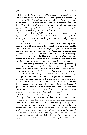It is upheld by the wider context. The parables of chapters 15 and 16 center in one theme, "Repentance." The three parables of chapter 15, climaxed by "The Prodigal Son," teach the wisdom of true repentance, which finds a God of perfect mercy. "The Unjust Steward," and "The Rich Man and Lazarus" of chapter 16, teach the folly of those who in their wisdom do not have to hear the Word of God and repent, for they meet the God of perfect wrath and justice.

The interpretation is upheld also by the narrower context, verses lO to 15. In 10 to 12 the theme is faithfulness to one's trust, clearly showing that the theme of stewardship in verses 1 and 2 is by no means to be regarded as purely incidental to the theme of wisdom, as Edersheim and others would have it, but is essential to the meaning of the parable. Verse 13 warns against the foolhardy attempt to live a double life, to serve God on the one hand, and yet to regard the world and the things God has given you as your own. Again, the stewardship idea is prominent, for this is the key to unfaithfulness in stewardship. Verse 15 is a warning to the Pharisees, putting into plain words the thought of verses 4 to 7 of the parable. The man is a fool who thinks that just because men approve of him, he can forget the opinion of God. On the contrary, the judgments of men mean nothing; everything depends on the judgment of God. Notice that these six verses of context relate not to verse 8, from which is drawn the theme of "wisdom," but to verses 1 to 7. This context forces us therefore to reject the conclusion of Edersheim, quoted above: "We must not expect to find spiritual equivalents for each of the persons or incidents introduced." Or again: "All else, such as the question, who is the master and who the steward, and such like, we dismiss, since the Parable is only intended as an illustration of the lesson to be afterwards taught." Jesus Himself defines the "spiritual equivalents." Jesus Himself proves that verses 1 to 7 are not to be reduced to the level of mere "illustration," but are in every sense of the word, a "parable."

Finally, we can argue from the negative, the extreme awkwardness of interpretation when these words are taken in the direct sense. I have already indicated that there is no unity in the text when Edersheim's interpretation is followed  $-$  and this applies equally to every one of a dozen commentaries I have consulted, for all in general hold to Edersheim's theme. If the moral of the story is that we should learn wisdom from the world, then what shall we do with the injustice of the steward? Either we omit it (regarding it as purely substructure to the *tertium),* or we teach two distinct lessons. Furthermore, there is no analogy in the teaching of Christ for making the wisdom of the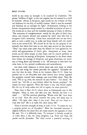world in any sense an example to be emulated by Christians. The phrase "children of light" in the text implies that the steward is a child of darkness. Always in Scripture, light stands for the wisdom of God, and darkness for the folly of worldly wisdom. Shall it now be reversed, and darkness set an example for light? Furthermore, holding to the former interpretation always results in a dreadful mutilation of verse 9. The words are so clear, and the intended meaning of Christ so obvious. "The mammon of unrighteousness" stands for the gifts of God, time, talent, and treasure, abused and misused by sinful men who fail to recognize God's ownership. Christ here commands that we use God's gifts in such a sinful way, to make and keep friends with the world, even as the steward did. We should do all this for the purpose of the steward, that when God casts us out, they may receive us into heaven. "They" can mean none other than the friends we have gained by the sinful self-appropriation of God's gifts. Interpreted as irony, these words can be taken simply as they stand, and we remain perfectly in harmony with the analogy of Scripture. Interpreted in the direct sense, they violate the analogy of Scripture, and gross distortions are necessary to bring about any harmony at all. All attempts to deal with this verse have, in fact, proved cumbersome and unsatisfactory.

Ate there other instances in which Jesus uses such irony, in which He says one thing, but means precisely the opposite? Examples are rare, but they do exist. There is, for instance, Matt. 23:32. Jesus has pointed out to the Pharisees how their fathers have always opposed the prophets, resisted their message, and even killed them. Then He cries, "Fill ye up, then, the measure of your fathers." "Go ahead," He would say, "kill Me as your fathers killed the former prophets." He means the exact opposite. What He wants is that they should repent. But the cry of irony makes the call to repent the more powerful.

Then there is Matt. 26:45, where Jesus in Gethsemane says to His disciples: "Sleep on now, and take your rest. Behold, the hour is at hand. ..." All His previous pleadings "Watch with Me" have been of no avail. Now the crucial moment has come, and Jesus says in effect: "All right, then, sleep if you must! How can you sleep at a time like this? He is at hand that doth betray Me!"

There is another example of irony in Luke 13:33: "It cannot be that a prophet perish out of Jerusalem." Here the rhetorical structure is slightly different, for Jesus does not mean exactly the opposite of what He says. Yet it is definitely irony. To interpret it literally would be to make Jesus a liar, for many prophets, e. g., Peter and Paul, did perish outside Jerusalem. The irony carries a powerful warning to